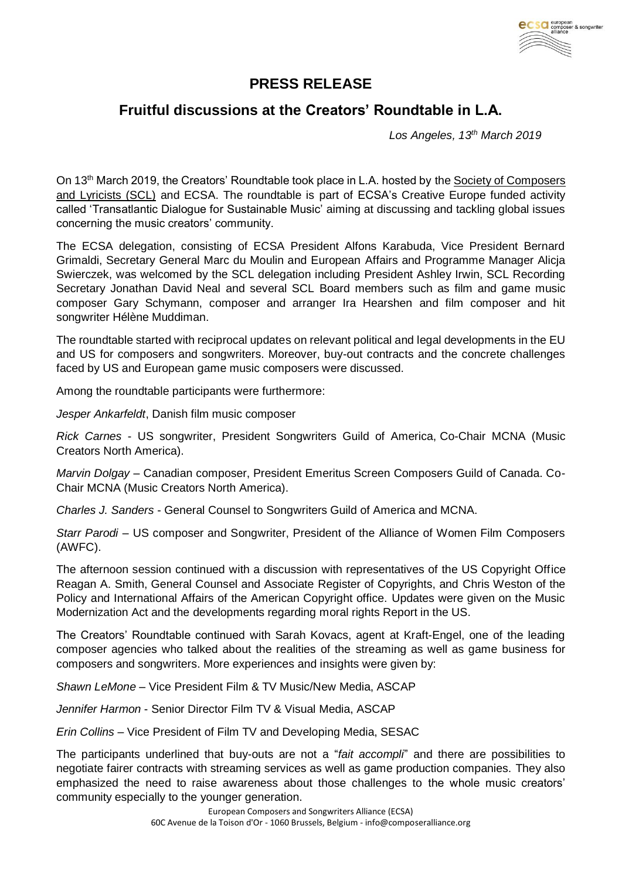

## **PRESS RELEASE**

## **Fruitful discussions at the Creators' Roundtable in L.A.**

 *Los Angeles, 13th March 2019*

On 13th March 2019, the Creators' Roundtable took place in L.A. hosted by the [Society of Composers](https://thescl.com/)  [and Lyricists \(SCL\)](https://thescl.com/) and ECSA. The roundtable is part of ECSA's Creative Europe funded activity called 'Transatlantic Dialogue for Sustainable Music' aiming at discussing and tackling global issues concerning the music creators' community.

The ECSA delegation, consisting of ECSA President Alfons Karabuda, Vice President Bernard Grimaldi, Secretary General Marc du Moulin and European Affairs and Programme Manager Alicja Swierczek, was welcomed by the SCL delegation including President Ashley Irwin, SCL Recording Secretary Jonathan David Neal and several SCL Board members such as film and game music composer Gary Schymann, composer and arranger Ira Hearshen and film composer and hit songwriter Hélène Muddiman.

The roundtable started with reciprocal updates on relevant political and legal developments in the EU and US for composers and songwriters. Moreover, buy-out contracts and the concrete challenges faced by US and European game music composers were discussed.

Among the roundtable participants were furthermore:

*Jesper Ankarfeldt*, Danish film music composer

*Rick Carnes* - US songwriter, President Songwriters Guild of America, Co-Chair MCNA (Music Creators North America).

*Marvin Dolgay* – Canadian composer, President Emeritus Screen Composers Guild of Canada. Co-Chair MCNA (Music Creators North America).

*Charles J. Sanders* - General Counsel to Songwriters Guild of America and MCNA.

*Starr Parodi* – US composer and Songwriter, President of the Alliance of Women Film Composers (AWFC).

The afternoon session continued with a discussion with representatives of the US Copyright Office Reagan A. Smith, General Counsel and Associate Register of Copyrights, and Chris Weston of the Policy and International Affairs of the American Copyright office. Updates were given on the Music Modernization Act and the developments regarding moral rights Report in the US.

The Creators' Roundtable continued with Sarah Kovacs, agent at Kraft-Engel, one of the leading composer agencies who talked about the realities of the streaming as well as game business for composers and songwriters. More experiences and insights were given by:

*Shawn LeMone* – Vice President Film & TV Music/New Media, ASCAP

*Jennifer Harmon* - Senior Director Film TV & Visual Media, ASCAP

*Erin Collins* – Vice President of Film TV and Developing Media, SESAC

The participants underlined that buy-outs are not a "*fait accompli*" and there are possibilities to negotiate fairer contracts with streaming services as well as game production companies. They also emphasized the need to raise awareness about those challenges to the whole music creators' community especially to the younger generation.